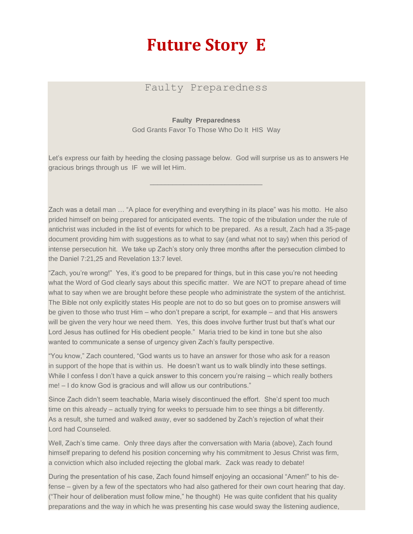## **Future Story E**

## Faulty Preparedness

## **Faulty Preparedness**

God Grants Favor To Those Who Do It HIS Way

\_\_\_\_\_\_\_\_\_\_\_\_\_\_\_\_\_\_\_\_\_\_\_\_\_\_\_\_\_\_

Let's express our faith by heeding the closing passage below. God will surprise us as to answers He gracious brings through us IF we will let Him.

Zach was a detail man … "A place for everything and everything in its place" was his motto. He also prided himself on being prepared for anticipated events. The topic of the tribulation under the rule of antichrist was included in the list of events for which to be prepared. As a result, Zach had a 35-page document providing him with suggestions as to what to say (and what not to say) when this period of intense persecution hit. We take up Zach's story only three months after the persecution climbed to the Daniel 7:21,25 and Revelation 13:7 level.

"Zach, you're wrong!" Yes, it's good to be prepared for things, but in this case you're not heeding what the Word of God clearly says about this specific matter. We are NOT to prepare ahead of time what to say when we are brought before these people who administrate the system of the antichrist. The Bible not only explicitly states His people are not to do so but goes on to promise answers will be given to those who trust Him – who don't prepare a script, for example – and that His answers will be given the very hour we need them. Yes, this does involve further trust but that's what our Lord Jesus has outlined for His obedient people." Maria tried to be kind in tone but she also wanted to communicate a sense of urgency given Zach's faulty perspective.

"You know," Zach countered, "God wants us to have an answer for those who ask for a reason in support of the hope that is within us. He doesn't want us to walk blindly into these settings. While I confess I don't have a quick answer to this concern you're raising – which really bothers me! – I do know God is gracious and will allow us our contributions."

Since Zach didn't seem teachable, Maria wisely discontinued the effort. She'd spent too much time on this already – actually trying for weeks to persuade him to see things a bit differently. As a result, she turned and walked away, ever so saddened by Zach's rejection of what their Lord had Counseled.

Well, Zach's time came. Only three days after the conversation with Maria (above), Zach found himself preparing to defend his position concerning why his commitment to Jesus Christ was firm, a conviction which also included rejecting the global mark. Zack was ready to debate!

During the presentation of his case, Zach found himself enjoying an occasional "Amen!" to his defense – given by a few of the spectators who had also gathered for their own court hearing that day. ("Their hour of deliberation must follow mine," he thought) He was quite confident that his quality preparations and the way in which he was presenting his case would sway the listening audience,